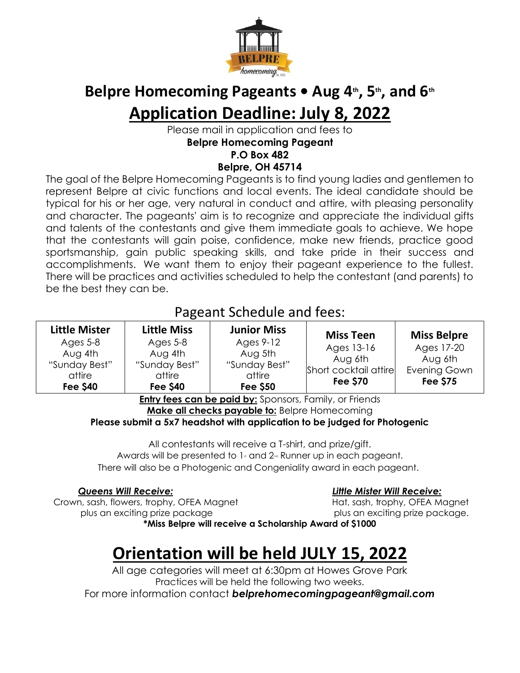

### Belpre Homecoming Pageants • Aug 4<sup>th</sup>, 5<sup>th</sup>, and 6<sup>th</sup> **Application Deadline: July 8, 2022**

Please mail in application and fees to **Belpre Homecoming Pageant P.O Box 482 Belpre, OH 45714**

The goal of the Belpre Homecoming Pageants is to find young ladies and gentlemen to represent Belpre at civic functions and local events. The ideal candidate should be typical for his or her age, very natural in conduct and attire, with pleasing personality and character. The pageants' aim is to recognize and appreciate the individual gifts and talents of the contestants and give them immediate goals to achieve. We hope that the contestants will gain poise, confidence, make new friends, practice good sportsmanship, gain public speaking skills, and take pride in their success and accomplishments. We want them to enjoy their pageant experience to the fullest. There will be practices and activities scheduled to help the contestant (and parents) to be the best they can be.

### Pageant Schedule and fees:

| <b>Miss Teen</b><br>Ages 9-12<br>Ages 5-8<br>Ages 5-8<br>Ages 13-16<br>Aug 4th<br>Aug 4th<br>Aug 5th<br>Aug 6th<br>"Sunday Best"<br>"Sunday Best"<br>"Sunday Best" | <b>Miss Belpre</b><br>Ages 17-20           |
|--------------------------------------------------------------------------------------------------------------------------------------------------------------------|--------------------------------------------|
| Short cocktail attire<br>attire<br>attire<br>attire<br><b>Fee \$70</b><br><b>Fee \$50</b><br><b>Fee \$40</b><br><b>Fee \$40</b>                                    | Aug 6th<br>Evening Gown<br><b>Fee \$75</b> |

**Entry fees can be paid by:** Sponsors, Family, or Friends **Make all checks payable to:** Belpre Homecoming

**Please submit a 5x7 headshot with application to be judged for Photogenic**

All contestants will receive a T-shirt, and prize/gift. Awards will be presented to  $1$  and  $2<sub>nd</sub>$  Runner up in each pageant. There will also be a Photogenic and Congeniality award in each pageant.

 Crown, sash, flowers, trophy, OFEA Magnet Hat, sash, trophy, OFEA Magnet plus an exciting prize package plus an exciting prize package.

### *Queens Will Receive: Little Mister Will Receive:*

**\*Miss Belpre will receive a Scholarship Award of \$1000**

## **Orientation will be held JULY 15, 2022**

All age categories will meet at 6:30pm at Howes Grove Park Practices will be held the following two weeks.

For more information contact *belprehomecomingpageant@gmail.com*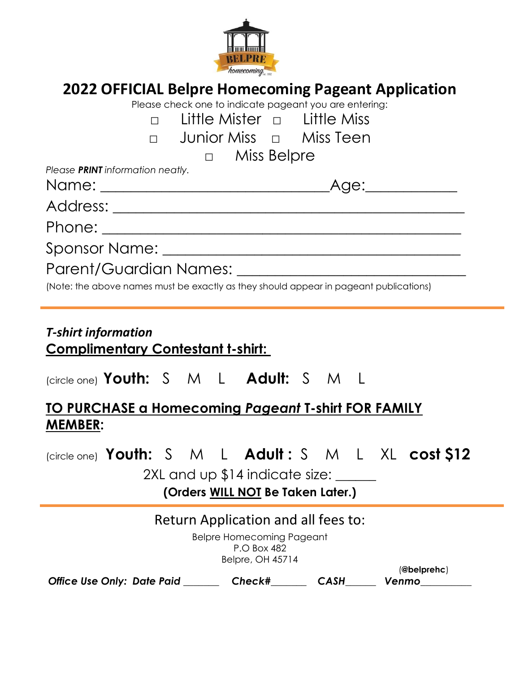

### **2022 OFFICIAL Belpre Homecoming Pageant Application**

| Please check one to indicate pageant you are entering:                                                                          |
|---------------------------------------------------------------------------------------------------------------------------------|
| Little Mister $\Box$ Little Miss                                                                                                |
| □ Junior Miss □  Miss Teen                                                                                                      |
| $\Box$ Miss Belpre                                                                                                              |
| Please PRINT information neatly.                                                                                                |
|                                                                                                                                 |
| Address: <u>Address:</u>                                                                                                        |
|                                                                                                                                 |
|                                                                                                                                 |
| (Note: the above names must be exactly as they should appear in pageant publications)                                           |
| <b>T-shirt information</b><br><u>Complimentary Contestant t-shirt:</u>                                                          |
| (circle one) Youth: S M L Adult: S M L                                                                                          |
| <u>TO PURCHASE a Homecoming Pageant T-shirt FOR FAMILY</u><br><b>MEMBER:</b>                                                    |
| (circle one) Youth: S M L Adult: S M L XL cost \$12<br>2XL and up \$14 indicate size:<br>(Orders WILL NOT Be Taken Later.)      |
|                                                                                                                                 |
| Return Application and all fees to:<br><b>Belpre Homecoming Pageant</b><br>P.O Box 482<br><b>Belpre, OH 45714</b><br>@belprehc) |
| Check#<br>Office Use Only: Date Paid<br><b>CASH</b><br>Venmo                                                                    |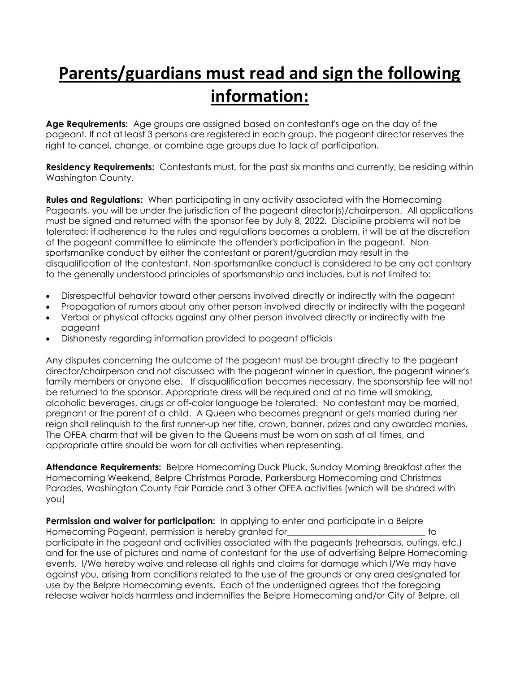# **Parents/guardians must read and sign the following information:**

**Age Requirements:** Age groups are assigned based on contestant's age on the day of the pageant. If not at least 3 persons are registered in each group, the pageant director reserves the right to cancel, change, or combine age groups due to lack of participation.

**Residency Requirements:** Contestants must, for the past six months and currently, be residing within Washington County.

**Rules and Regulations:** When participating in any activity associated with the Homecoming Pageants, you will be under the jurisdiction of the pageant director(s)/chairperson. All applications must be signed and returned with the sponsor fee by July 8, 2022. Discipline problems will not be tolerated; if adherence to the rules and regulations becomes a problem, it will be at the discretion of the pageant committee to eliminate the offender's participation in the pageant. Nonsportsmanlike conduct by either the contestant or parent/guardian may result in the disqualification of the contestant. Non-sportsmanlike conduct is considered to be any act contrary to the generally understood principles of sportsmanship and includes, but is not limited to:

- Disrespectful behavior toward other persons involved directly or indirectly with the pageant
- Propagation of rumors about any other person involved directly or indirectly with the pageant
- Verbal or physical attacks against any other person involved directly or indirectly with the pageant
- Dishonesty regarding information provided to pageant officials

Any disputes concerning the outcome of the pageant must be brought directly to the pageant director/chairperson and not discussed with the pageant winner in question, the pageant winner's family members or anyone else. If disqualification becomes necessary, the sponsorship fee will not be returned to the sponsor. Appropriate dress will be required and at no time will smoking, alcoholic beverages, drugs or off-color language be tolerated. No contestant may be married, pregnant or the parent of a child. A Queen who becomes pregnant or gets married during her reign shall relinquish to the first runner-up her title, crown, banner, prizes and any awarded monies. The OFEA charm that will be given to the Queens must be worn on sash at all times, and appropriate attire should be worn for all activities when representing.

**Attendance Requirements:** Belpre Homecoming Duck Pluck, Sunday Morning Breakfast after the Homecoming Weekend, Belpre Christmas Parade, Parkersburg Homecoming and Christmas Parades, Washington County Fair Parade and 3 other OFEA activities (which will be shared with you)

**Permission and waiver for participation:** In applying to enter and participate in a Belpre Homecoming Pageant, permission is hereby granted for **Example 2018** 10 to to the state of to participate in the pageant and activities associated with the pageants (rehearsals, outings, etc.) and for the use of pictures and name of contestant for the use of advertising Belpre Homecoming events. I/We hereby waive and release all rights and claims for damage which I/We may have against you, arising from conditions related to the use of the grounds or any area designated for use by the Belpre Homecoming events. Each of the undersigned agrees that the foregoing release waiver holds harmless and indemnifies the Belpre Homecoming and/or City of Belpre, all